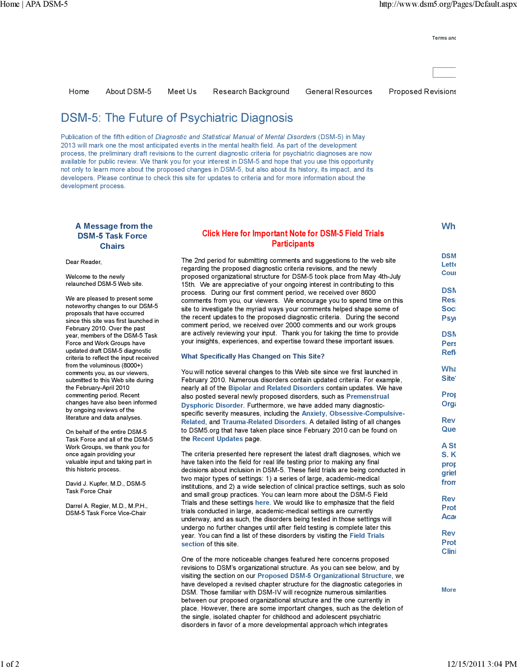Terms and

**Wh** 

DSM Lette Coun

DS<sub>N</sub> Res Soci Psyc **DSM** Pers Refle Wha Site?

Prop Orga Rev Que **A St** S.K prop grief from **Rev** Prot **Aca Rev** Prot Clini

**More** 

# DSM-5: The Future of Psychiatric Diagnosis

Publication of the fifth edition of Diagnostic and Statistical Manual of Mental Disorders (DSM-5) in May 2013 will mark one the most anticipated events in the mental health field. As part of the development process, the preliminary draft revisions to the current diagnostic criteria for psychiatric diagnoses are now available for public review. We thank you for your interest in DSM-5 and hope that you use this opportunity not only to learn more about the proposed changes in DSM-5, but also about its history, its impact, and its developers. Please continue to check this site for updates to criteria and for more information about the development process.

## A Message from the DSM-5 Task Force **Chairs**

Dear Reader,

Welcome to the newly relaunched DSM-5 Web site.

We are pleased to present some noteworthy changes to our DSM-5 proposals that have occurred since this site was first launched in February 2010. Over the past year, members of the DSM-5 Task Force and Work Groups have updated draft DSM-5 diagnostic criteria to reflect the input received from the voluminous (8000+) comments you, as our viewers, submitted to this Web site during the February-April 2010 commenting period. Recent changes have also been informed by ongoing reviews of the literature and data analyses.

On behalf of the entire DSM-5 Task Force and all of the DSM-5 Work Groups, we thank you for once again providing your valuable input and taking part in this historic process.

David J. Kupfer, M.D., DSM-5 Task Force Chair

Darrel A. Regier, M.D., M.P.H., DSM-5 Task Force Vice-Chair

## Click Here for Important Note for DSM-5 Field Trials **Participants**

Home About DSM-5 Meet Us Research Background General Resources Proposed Revisions

The 2nd period for submitting comments and suggestions to the web site regarding the proposed diagnostic criteria revisions, and the newly proposed organizational structure for DSM-5 took place from May 4th-July 15th. We are appreciative of your ongoing interest in contributing to this process. During our first comment period, we received over 8600 comments from you, our viewers. We encourage you to spend time on this site to investigate the myriad ways your comments helped shape some of the recent updates to the proposed diagnostic criteria. During the second comment period, we received over 2000 comments and our work groups are actively reviewing your input. Thank you for taking the time to provide your insights, experiences, and expertise toward these important issues.

### What Specifically Has Changed on This Site?

You will notice several changes to this Web site since we first launched in February 2010. Numerous disorders contain updated criteria. For example, nearly all of the Bipolar and Related Disorders contain updates. We have also posted several newly proposed disorders, such as Premenstrual Dysphoric Disorder. Furthermore, we have added many diagnosticspecific severity measures, including the Anxiety, Obsessive-Compulsive-Related, and Trauma-Related Disorders. A detailed listing of all changes to DSM5.org that have taken place since February 2010 can be found on the Recent Updates page.

The criteria presented here represent the latest draft diagnoses, which we have taken into the field for real life testing prior to making any final decisions about inclusion in DSM-5. These field trials are being conducted in two major types of settings: 1) a series of large, academic-medical institutions, and 2) a wide selection of clinical practice settings, such as solo and small group practices. You can learn more about the DSM-5 Field Trials and these settings here. We would like to emphasize that the field trials conducted in large, academic-medical settings are currently underway, and as such, the disorders being tested in those settings will undergo no further changes until after field testing is complete later this year. You can find a list of these disorders by visiting the Field Trials section of this site.

One of the more noticeable changes featured here concerns proposed revisions to DSM's organizational structure. As you can see below, and by visiting the section on our Proposed DSM-5 Organizational Structure, we have developed a revised chapter structure for the diagnostic categories in DSM. Those familiar with DSM-IV will recognize numerous similarities between our proposed organizational structure and the one currently in place. However, there are some important changes, such as the deletion of the single, isolated chapter for childhood and adolescent psychiatric disorders in favor of a more developmental approach which integrates